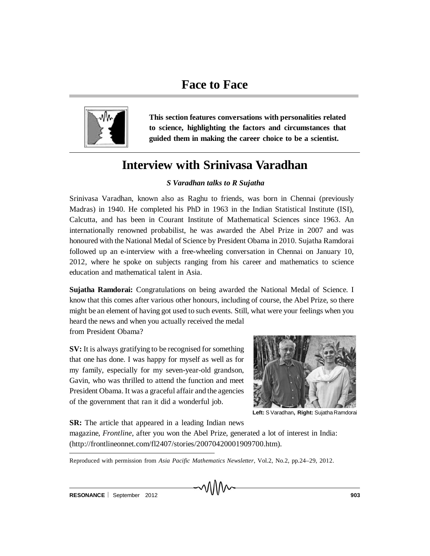

**This section features conversations with personalities related to science, highlighting the factors and circumstances that guided them in making the career choice to be a scientist.**

# **Interview with Srinivasa Varadhan**

## *S Varadhan talks to R Sujatha*

Srinivasa Varadhan, known also as Raghu to friends, was born in Chennai (previously Madras) in 1940. He completed his PhD in 1963 in the Indian Statistical Institute (ISI), Calcutta, and has been in Courant Institute of Mathematical Sciences since 1963. An internationally renowned probabilist, he was awarded the Abel Prize in 2007 and was honoured with the National Medal of Science by President Obama in 2010. Sujatha Ramdorai followed up an e-interview with a free-wheeling conversation in Chennai on January 10, 2012, where he spoke on subjects ranging from his career and mathematics to science education and mathematical talent in Asia.

**Sujatha Ramdorai:** Congratulations on being awarded the National Medal of Science. I know that this comes after various other honours, including of course, the Abel Prize, so there might be an element of having got used to such events. Still, what were your feelings when you heard the news and when you actually received the medal

from President Obama?

**SV:** It is always gratifying to be recognised for something that one has done. I was happy for myself as well as for my family, especially for my seven-year-old grandson, Gavin, who was thrilled to attend the function and meet President Obama. It was a graceful affair and the agencies of the government that ran it did a wonderful job.



**Left:** S Varadhan**, Right:** Sujatha Ramdorai

**SR:** The article that appeared in a leading Indian news

magazine, *Frontline*, after you won the Abel Prize, generated a lot of interest in India: (http://frontlineonnet.com/fl2407/stories/20070420001909700.htm).

Reproduced with permission from *Asia Pacific Mathematics Newsletter*, Vol.2, No.2, pp.24–29, 2012.

MMM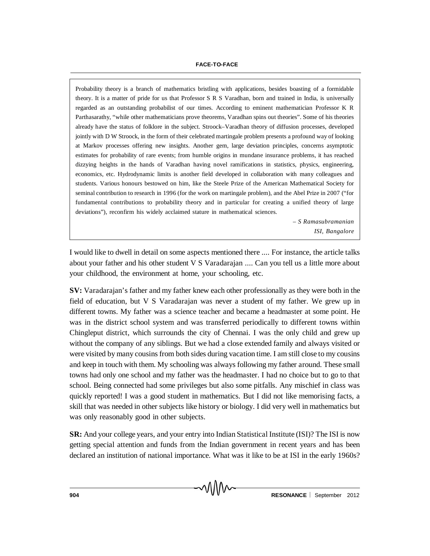Probability theory is a branch of mathematics bristling with applications, besides boasting of a formidable theory. It is a matter of pride for us that Professor S R S Varadhan, born and trained in India, is universally regarded as an outstanding probabilist of our times. According to eminent mathematician Professor K R Parthasarathy, "while other mathematicians prove theorems, Varadhan spins out theories". Some of his theories already have the status of folklore in the subject. Stroock–Varadhan theory of diffusion processes, developed jointly with D W Stroock, in the form of their celebrated martingale problem presents a profound way of looking at Markov processes offering new insights. Another gem, large deviation principles, concerns asymptotic estimates for probability of rare events; from humble origins in mundane insurance problems, it has reached dizzying heights in the hands of Varadhan having novel ramifications in statistics, physics, engineering, economics, etc. Hydrodynamic limits is another field developed in collaboration with many colleagues and students. Various honours bestowed on him, like the Steele Prize of the American Mathematical Society for seminal contribution to research in 1996 (for the work on martingale problem), and the Abel Prize in 2007 ("for fundamental contributions to probability theory and in particular for creating a unified theory of large deviations"), reconfirm his widely acclaimed stature in mathematical sciences.

> – *S Ramasubramanian ISI, Bangalore*

I would like to dwell in detail on some aspects mentioned there .... For instance, the article talks about your father and his other student V S Varadarajan .... Can you tell us a little more about your childhood, the environment at home, your schooling, etc.

**SV:** Varadarajan's father and my father knew each other professionally as they were both in the field of education, but V S Varadarajan was never a student of my father. We grew up in different towns. My father was a science teacher and became a headmaster at some point. He was in the district school system and was transferred periodically to different towns within Chingleput district, which surrounds the city of Chennai. I was the only child and grew up without the company of any siblings. But we had a close extended family and always visited or were visited by many cousins from both sides during vacation time. I am still close to my cousins and keep in touch with them. My schooling was always following my father around. These small towns had only one school and my father was the headmaster. I had no choice but to go to that school. Being connected had some privileges but also some pitfalls. Any mischief in class was quickly reported! I was a good student in mathematics. But I did not like memorising facts, a skill that was needed in other subjects like history or biology. I did very well in mathematics but was only reasonably good in other subjects.

**SR:** And your college years, and your entry into Indian Statistical Institute (ISI)? The ISI is now getting special attention and funds from the Indian government in recent years and has been declared an institution of national importance. What was it like to be at ISI in the early 1960s?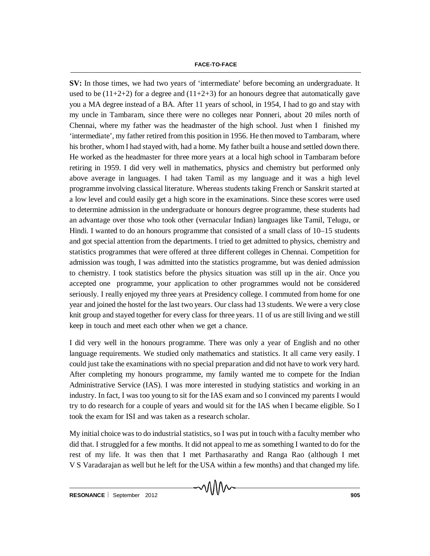**SV:** In those times, we had two years of 'intermediate' before becoming an undergraduate. It used to be  $(11+2+2)$  for a degree and  $(11+2+3)$  for an honours degree that automatically gave you a MA degree instead of a BA. After 11 years of school, in 1954, I had to go and stay with my uncle in Tambaram, since there were no colleges near Ponneri, about 20 miles north of Chennai, where my father was the headmaster of the high school. Just when I finished my 'intermediate', my father retired from this position in 1956. He then moved to Tambaram, where his brother, whom I had stayed with, had a home. My father built a house and settled down there. He worked as the headmaster for three more years at a local high school in Tambaram before retiring in 1959. I did very well in mathematics, physics and chemistry but performed only above average in languages. I had taken Tamil as my language and it was a high level programme involving classical literature. Whereas students taking French or Sanskrit started at a low level and could easily get a high score in the examinations. Since these scores were used to determine admission in the undergraduate or honours degree programme, these students had an advantage over those who took other (vernacular Indian) languages like Tamil, Telugu, or Hindi. I wanted to do an honours programme that consisted of a small class of 10–15 students and got special attention from the departments. I tried to get admitted to physics, chemistry and statistics programmes that were offered at three different colleges in Chennai. Competition for admission was tough, I was admitted into the statistics programme, but was denied admission to chemistry. I took statistics before the physics situation was still up in the air. Once you accepted one programme, your application to other programmes would not be considered seriously. I really enjoyed my three years at Presidency college. I commuted from home for one year and joined the hostel for the last two years. Our class had 13 students. We were a very close knit group and stayed together for every class for three years. 11 of us are still living and we still keep in touch and meet each other when we get a chance.

I did very well in the honours programme. There was only a year of English and no other language requirements. We studied only mathematics and statistics. It all came very easily. I could just take the examinations with no special preparation and did not have to work very hard. After completing my honours programme, my family wanted me to compete for the Indian Administrative Service (IAS). I was more interested in studying statistics and working in an industry. In fact, I was too young to sit for the IAS exam and so I convinced my parents I would try to do research for a couple of years and would sit for the IAS when I became eligible. So I took the exam for ISI and was taken as a research scholar.

My initial choice was to do industrial statistics, so I was put in touch with a faculty member who did that. I struggled for a few months. It did not appeal to me as something I wanted to do for the rest of my life. It was then that I met Parthasarathy and Ranga Rao (although I met V S Varadarajan as well but he left for the USA within a few months) and that changed my life.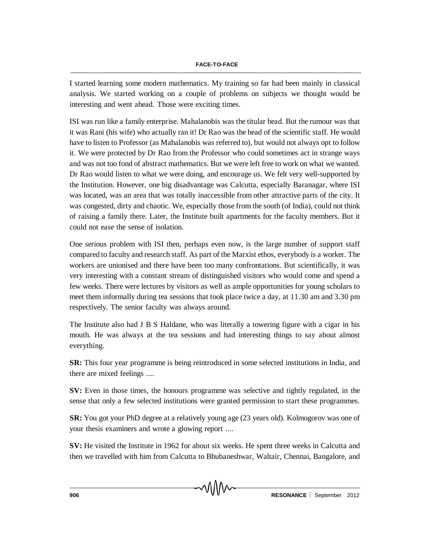I started learning some modern mathematics. My training so far had been mainly in classical analysis. We started working on a couple of problems on subjects we thought would be interesting and went ahead. Those were exciting times.

ISI was run like a family enterprise. Mahalanobis was the titular head. But the rumour was that it was Rani (his wife) who actually ran it! Dr Rao was the head of the scientific staff. He would have to listen to Professor (as Mahalanobis was referred to), but would not always opt to follow it. We were protected by Dr Rao from the Professor who could sometimes act in strange ways and was not too fond of abstract mathematics. But we were left free to work on what we wanted. Dr Rao would listen to what we were doing, and encourage us. We felt very well-supported by the Institution. However, one big disadvantage was Calcutta, especially Baranagar, where ISI was located, was an area that was totally inaccessible from other attractive parts of the city. It was congested, dirty and chaotic. We, especially those from the south (of India), could not think of raising a family there. Later, the Institute built apartments for the faculty members. But it could not ease the sense of isolation.

One serious problem with ISI then, perhaps even now, is the large number of support staff compared to faculty and research staff. As part of the Marxist ethos, everybody is a worker. The workers are unionised and there have been too many confrontations. But scientifically, it was very interesting with a constant stream of distinguished visitors who would come and spend a few weeks. There were lectures by visitors as well as ample opportunities for young scholars to meet them informally during tea sessions that took place twice a day, at 11.30 am and 3.30 pm respectively. The senior faculty was always around.

The Institute also had J B S Haldane, who was literally a towering figure with a cigar in his mouth. He was always at the tea sessions and had interesting things to say about almost everything.

**SR:** This four year programme is being reintroduced in some selected institutions in India, and there are mixed feelings ....

**SV:** Even in those times, the honours programme was selective and tightly regulated, in the sense that only a few selected institutions were granted permission to start these programmes.

**SR:** You got your PhD degree at a relatively young age (23 years old). Kolmogorov was one of your thesis examiners and wrote a glowing report ....

**SV:** He visited the Institute in 1962 for about six weeks. He spent three weeks in Calcutta and then we travelled with him from Calcutta to Bhubaneshwar, Waltair, Chennai, Bangalore, and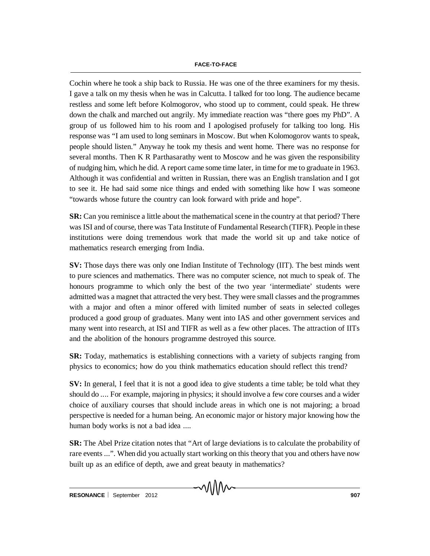Cochin where he took a ship back to Russia. He was one of the three examiners for my thesis. I gave a talk on my thesis when he was in Calcutta. I talked for too long. The audience became restless and some left before Kolmogorov, who stood up to comment, could speak. He threw down the chalk and marched out angrily. My immediate reaction was "there goes my PhD". A group of us followed him to his room and I apologised profusely for talking too long. His response was "I am used to long seminars in Moscow. But when Kolomogorov wants to speak, people should listen." Anyway he took my thesis and went home. There was no response for several months. Then K R Parthasarathy went to Moscow and he was given the responsibility of nudging him, which he did. A report came some time later, in time for me to graduate in 1963. Although it was confidential and written in Russian, there was an English translation and I got to see it. He had said some nice things and ended with something like how I was someone "towards whose future the country can look forward with pride and hope".

**SR:** Can you reminisce a little about the mathematical scene in the country at that period? There was ISI and of course, there was Tata Institute of Fundamental Research (TIFR). People in these institutions were doing tremendous work that made the world sit up and take notice of mathematics research emerging from India.

**SV:** Those days there was only one Indian Institute of Technology (IIT). The best minds went to pure sciences and mathematics. There was no computer science, not much to speak of. The honours programme to which only the best of the two year 'intermediate' students were admitted was a magnet that attracted the very best. They were small classes and the programmes with a major and often a minor offered with limited number of seats in selected colleges produced a good group of graduates. Many went into IAS and other government services and many went into research, at ISI and TIFR as well as a few other places. The attraction of IITs and the abolition of the honours programme destroyed this source.

**SR:** Today, mathematics is establishing connections with a variety of subjects ranging from physics to economics; how do you think mathematics education should reflect this trend?

**SV:** In general, I feel that it is not a good idea to give students a time table; be told what they should do .... For example, majoring in physics; it should involve a few core courses and a wider choice of auxiliary courses that should include areas in which one is not majoring; a broad perspective is needed for a human being. An economic major or history major knowing how the human body works is not a bad idea ....

**SR:** The Abel Prize citation notes that "Art of large deviations is to calculate the probability of rare events ...". When did you actually start working on this theory that you and others have now built up as an edifice of depth, awe and great beauty in mathematics?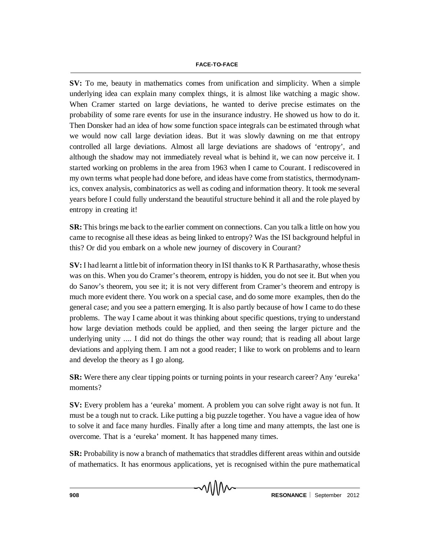**SV:** To me, beauty in mathematics comes from unification and simplicity. When a simple underlying idea can explain many complex things, it is almost like watching a magic show. When Cramer started on large deviations, he wanted to derive precise estimates on the probability of some rare events for use in the insurance industry. He showed us how to do it. Then Donsker had an idea of how some function space integrals can be estimated through what we would now call large deviation ideas. But it was slowly dawning on me that entropy controlled all large deviations. Almost all large deviations are shadows of 'entropy', and although the shadow may not immediately reveal what is behind it, we can now perceive it. I started working on problems in the area from 1963 when I came to Courant. I rediscovered in my own terms what people had done before, and ideas have come from statistics, thermodynamics, convex analysis, combinatorics as well as coding and information theory. It took me several years before I could fully understand the beautiful structure behind it all and the role played by entropy in creating it!

**SR:** This brings me back to the earlier comment on connections. Can you talk a little on how you came to recognise all these ideas as being linked to entropy? Was the ISI background helpful in this? Or did you embark on a whole new journey of discovery in Courant?

**SV:** I had learnt a little bit of information theory in ISI thanks to K R Parthasarathy, whose thesis was on this. When you do Cramer's theorem, entropy is hidden, you do not see it. But when you do Sanov's theorem, you see it; it is not very different from Cramer's theorem and entropy is much more evident there. You work on a special case, and do some more examples, then do the general case; and you see a pattern emerging. It is also partly because of how I came to do these problems. The way I came about it was thinking about specific questions, trying to understand how large deviation methods could be applied, and then seeing the larger picture and the underlying unity .... I did not do things the other way round; that is reading all about large deviations and applying them. I am not a good reader; I like to work on problems and to learn and develop the theory as I go along.

**SR:** Were there any clear tipping points or turning points in your research career? Any 'eureka' moments?

**SV:** Every problem has a 'eureka' moment. A problem you can solve right away is not fun. It must be a tough nut to crack. Like putting a big puzzle together. You have a vague idea of how to solve it and face many hurdles. Finally after a long time and many attempts, the last one is overcome. That is a 'eureka' moment. It has happened many times.

**SR:** Probability is now a branch of mathematics that straddles different areas within and outside of mathematics. It has enormous applications, yet is recognised within the pure mathematical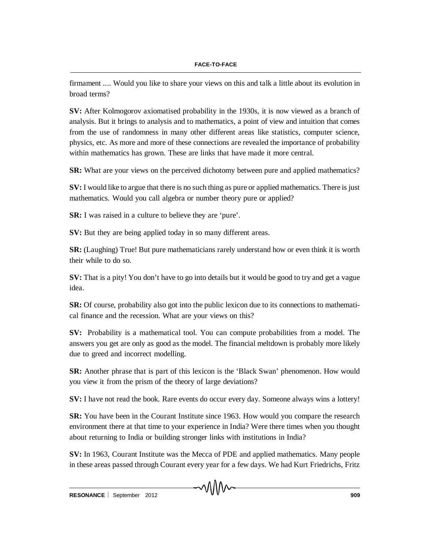firmament .... Would you like to share your views on this and talk a little about its evolution in broad terms?

**SV:** After Kolmogorov axiomatised probability in the 1930s, it is now viewed as a branch of analysis. But it brings to analysis and to mathematics, a point of view and intuition that comes from the use of randomness in many other different areas like statistics, computer science, physics, etc. As more and more of these connections are revealed the importance of probability within mathematics has grown. These are links that have made it more central.

**SR:** What are your views on the perceived dichotomy between pure and applied mathematics?

**SV:** I would like to argue that there is no such thing as pure or applied mathematics. There is just mathematics. Would you call algebra or number theory pure or applied?

**SR:** I was raised in a culture to believe they are 'pure'.

**SV:** But they are being applied today in so many different areas.

**SR:** (Laughing) True! But pure mathematicians rarely understand how or even think it is worth their while to do so.

**SV:** That is a pity! You don't have to go into details but it would be good to try and get a vague idea.

**SR:** Of course, probability also got into the public lexicon due to its connections to mathematical finance and the recession. What are your views on this?

**SV:** Probability is a mathematical tool. You can compute probabilities from a model. The answers you get are only as good as the model. The financial meltdown is probably more likely due to greed and incorrect modelling.

**SR:** Another phrase that is part of this lexicon is the 'Black Swan' phenomenon. How would you view it from the prism of the theory of large deviations?

**SV:** I have not read the book. Rare events do occur every day. Someone always wins a lottery!

**SR:** You have been in the Courant Institute since 1963. How would you compare the research environment there at that time to your experience in India? Were there times when you thought about returning to India or building stronger links with institutions in India?

**SV:** In 1963, Courant Institute was the Mecca of PDE and applied mathematics. Many people in these areas passed through Courant every year for a few days. We had Kurt Friedrichs, Fritz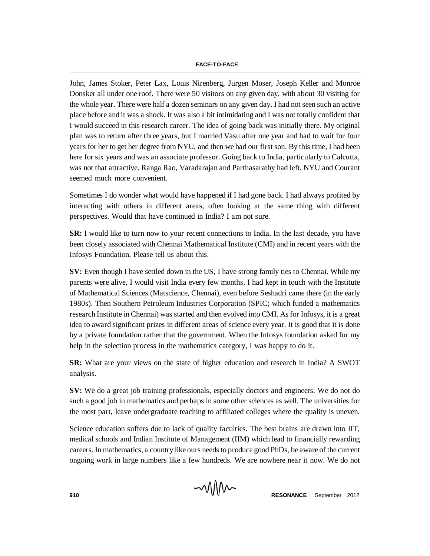John, James Stoker, Peter Lax, Louis Nirenberg, Jurgen Moser, Joseph Keller and Monroe Donsker all under one roof. There were 50 visitors on any given day, with about 30 visiting for the whole year. There were half a dozen seminars on any given day. I had not seen such an active place before and it was a shock. It was also a bit intimidating and I was not totally confident that I would succeed in this research career. The idea of going back was initially there. My original plan was to return after three years, but I married Vasu after one year and had to wait for four years for her to get her degree from NYU, and then we had our first son. By this time, I had been here for six years and was an associate professor. Going back to India, particularly to Calcutta, was not that attractive. Ranga Rao, Varadarajan and Parthasarathy had left. NYU and Courant seemed much more convenient.

Sometimes I do wonder what would have happened if I had gone back. I had always profited by interacting with others in different areas, often looking at the same thing with different perspectives. Would that have continued in India? I am not sure.

**SR:** I would like to turn now to your recent connections to India. In the last decade, you have been closely associated with Chennai Mathematical Institute (CMI) and in recent years with the Infosys Foundation. Please tell us about this.

**SV:** Even though I have settled down in the US, I have strong family ties to Chennai. While my parents were alive, I would visit India every few months. I had kept in touch with the Institute of Mathematical Sciences (Matscience, Chennai), even before Seshadri came there (in the early 1980s). Then Southern Petroleum Industries Corporation (SPIC; which funded a mathematics research Institute in Chennai) was started and then evolved into CMI. As for Infosys, it is a great idea to award significant prizes in different areas of science every year. It is good that it is done by a private foundation rather that the government. When the Infosys foundation asked for my help in the selection process in the mathematics category, I was happy to do it.

**SR:** What are your views on the state of higher education and research in India? A SWOT analysis.

**SV:** We do a great job training professionals, especially doctors and engineers. We do not do such a good job in mathematics and perhaps in some other sciences as well. The universities for the most part, leave undergraduate teaching to affiliated colleges where the quality is uneven.

Science education suffers due to lack of quality faculties. The best brains are drawn into IIT, medical schools and Indian Institute of Management (IIM) which lead to financially rewarding careers. In mathematics, a country like ours needs to produce good PhDs, be aware of the current ongoing work in large numbers like a few hundreds. We are nowhere near it now. We do not

MM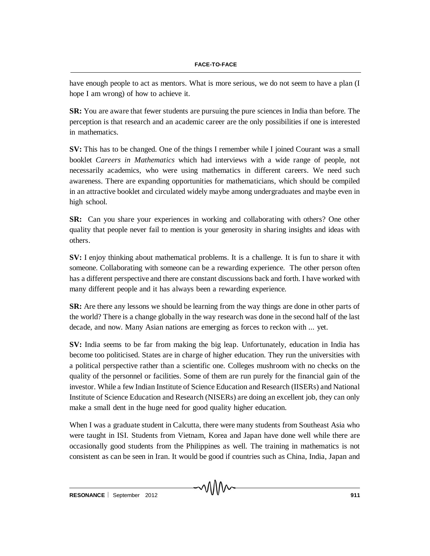have enough people to act as mentors. What is more serious, we do not seem to have a plan (I hope I am wrong) of how to achieve it.

**SR:** You are aware that fewer students are pursuing the pure sciences in India than before. The perception is that research and an academic career are the only possibilities if one is interested in mathematics.

**SV:** This has to be changed. One of the things I remember while I joined Courant was a small booklet *Careers in Mathematics* which had interviews with a wide range of people, not necessarily academics, who were using mathematics in different careers. We need such awareness. There are expanding opportunities for mathematicians, which should be compiled in an attractive booklet and circulated widely maybe among undergraduates and maybe even in high school.

**SR:** Can you share your experiences in working and collaborating with others? One other quality that people never fail to mention is your generosity in sharing insights and ideas with others.

**SV:** I enjoy thinking about mathematical problems. It is a challenge. It is fun to share it with someone. Collaborating with someone can be a rewarding experience. The other person often has a different perspective and there are constant discussions back and forth. I have worked with many different people and it has always been a rewarding experience.

**SR:** Are there any lessons we should be learning from the way things are done in other parts of the world? There is a change globally in the way research was done in the second half of the last decade, and now. Many Asian nations are emerging as forces to reckon with ... yet.

**SV:** India seems to be far from making the big leap. Unfortunately, education in India has become too politicised. States are in charge of higher education. They run the universities with a political perspective rather than a scientific one. Colleges mushroom with no checks on the quality of the personnel or facilities. Some of them are run purely for the financial gain of the investor. While a few Indian Institute of Science Education and Research (IISERs) and National Institute of Science Education and Research (NISERs) are doing an excellent job, they can only make a small dent in the huge need for good quality higher education.

When I was a graduate student in Calcutta, there were many students from Southeast Asia who were taught in ISI. Students from Vietnam, Korea and Japan have done well while there are occasionally good students from the Philippines as well. The training in mathematics is not consistent as can be seen in Iran. It would be good if countries such as China, India, Japan and